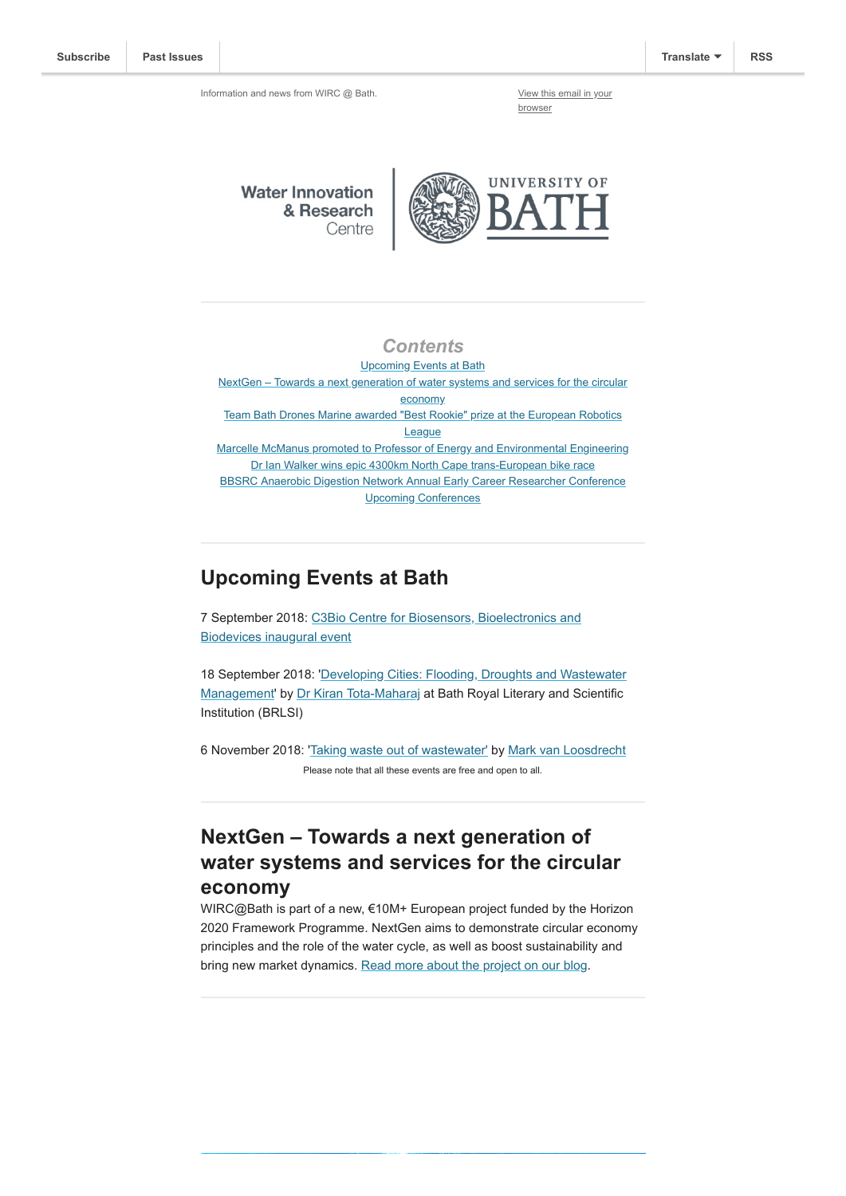browser

**Water Innovation** & Research Centre



#### *Contents*

Upcoming Events at Bath [NextGen – Towards a next generation of water systems and services for the circular](#page-0-0) economy [Team Bath Drones Marine awarded "Best Rookie" prize at the European Robotics](#page-1-0) **League** [Marcelle McManus promoted to Professor of Energy and Environmental Engineering](#page-1-1) [Dr Ian Walker wins epic 4300km North Cape trans-European bike race](#page-1-2) [BBSRC Anaerobic Digestion Network Annual Early Career Researcher Conference](#page-2-0) [Upcoming Conferences](#page-2-1)

#### **Upcoming Events at Bath**

[7 September 2018: C3Bio Centre for Biosensors, Bioelectronics and](https://www.eventbrite.co.uk/e/c3bio-centre-for-biosensors-bioelectronics-and-biodevices-inaugural-event-tickets-48331231013) Biodevices inaugural event

[18 September 2018: 'Developing Cities: Flooding, Droughts and Wastewater](https://www.brlsi.org/node/180763) Management' by [Dr Kiran Tota-Maharaj](https://people.uwe.ac.uk/Person/KiranTota-Maharaj) at Bath Royal Literary and Scientific Institution (BRLSI)

6 November 2018: '[Taking waste out of wastewater'](https://www.eventbrite.co.uk/e/taking-waste-out-of-wastewater-tickets-47668762552) by [Mark van Loosdrecht](https://www.tudelft.nl/en/faculty-of-applied-sciences/about-faculty/departments/biotechnology/research-groups/environmental-biotechnology/mark-van-loosdrecht-group/biography/) Please note that all these events are free and open to all.

### <span id="page-0-0"></span>**NextGen – Towards a next generation of water systems and services for the circular economy**

WIRC@Bath is part of a new, €10M+ European project funded by the Horizon 2020 Framework Programme. NextGen aims to demonstrate circular economy principles and the role of the water cycle, as well as boost sustainability and bring new market dynamics. [Read more about the project on our blog.](http://blogs.bath.ac.uk/water/2018/08/17/nextgen-towards-a-next-generation-of-water-systems-and-services-for-the-circular-economy/)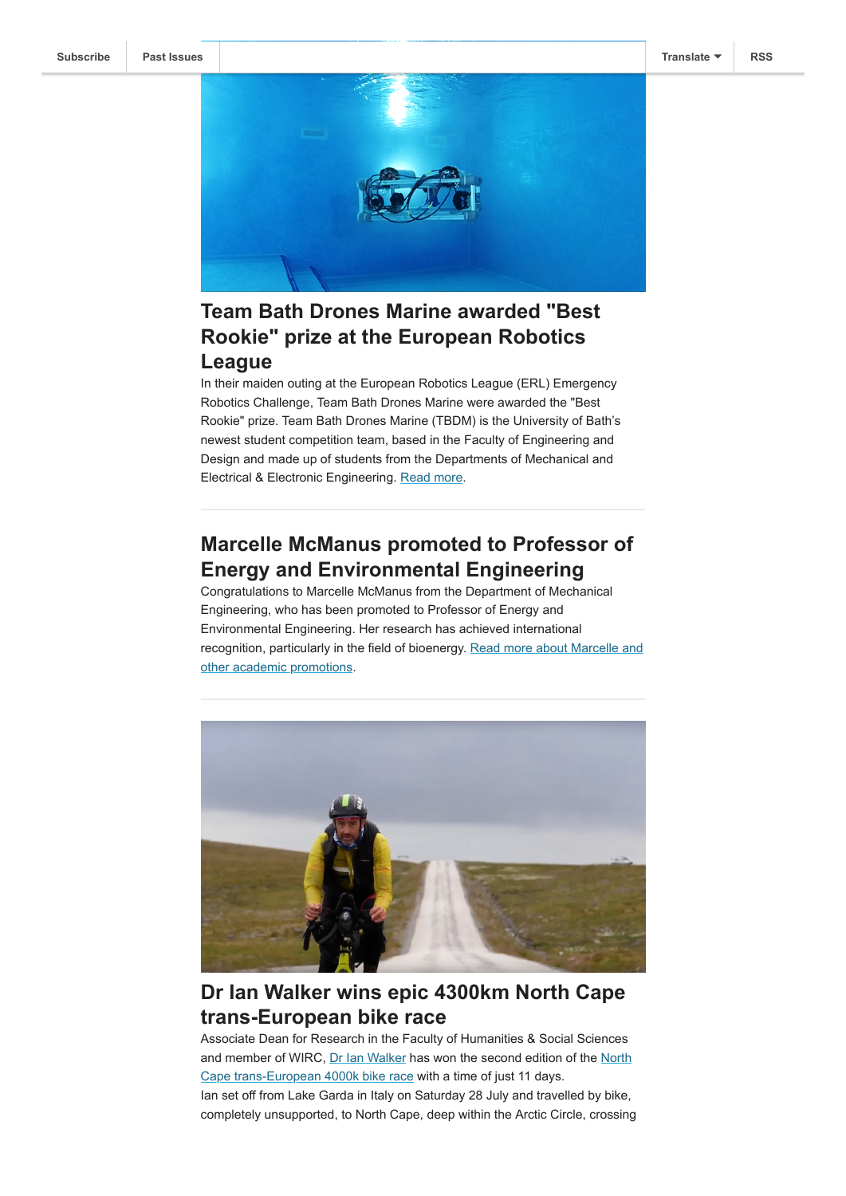

## <span id="page-1-0"></span>**Team Bath Drones Marine awarded "Best Rookie" prize at the European Robotics League**

In their maiden outing at the European Robotics League (ERL) Emergency Robotics Challenge, Team Bath Drones Marine were awarded the "Best Rookie" prize. Team Bath Drones Marine (TBDM) is the University of Bath's newest student competition team, based in the Faculty of Engineering and Design and made up of students from the Departments of Mechanical and Electrical & Electronic Engineering. [Read more](http://www.bath.ac.uk/announcements/newcomers-success-for-team-bath-drones-marine/).

#### <span id="page-1-1"></span>**Marcelle McManus promoted to Professor of Energy and Environmental Engineering**

Congratulations to Marcelle McManus from the Department of Mechanical Engineering, who has been promoted to Professor of Energy and Environmental Engineering. Her research has achieved international [recognition, particularly in the field of bioenergy. Read more about Marcelle and](http://www.bath.ac.uk/announcements/academic-promotions-in-2017-2018/) other academic promotions.



## <span id="page-1-2"></span>**Dr Ian Walker wins epic 4300km North Cape trans-European bike race**

Associate Dean for Research in the Faculty of Humanities & Social Sciences [and member of WIRC, Dr Ian Walker has won the second edition of the North](http://www.northcape4000.com/en) Cape trans-European 4000k bike race with a time of just 11 days. Ian set off from Lake Garda in Italy on Saturday 28 July and travelled by bike, completely unsupported, to North Cape, deep within the Arctic Circle, crossing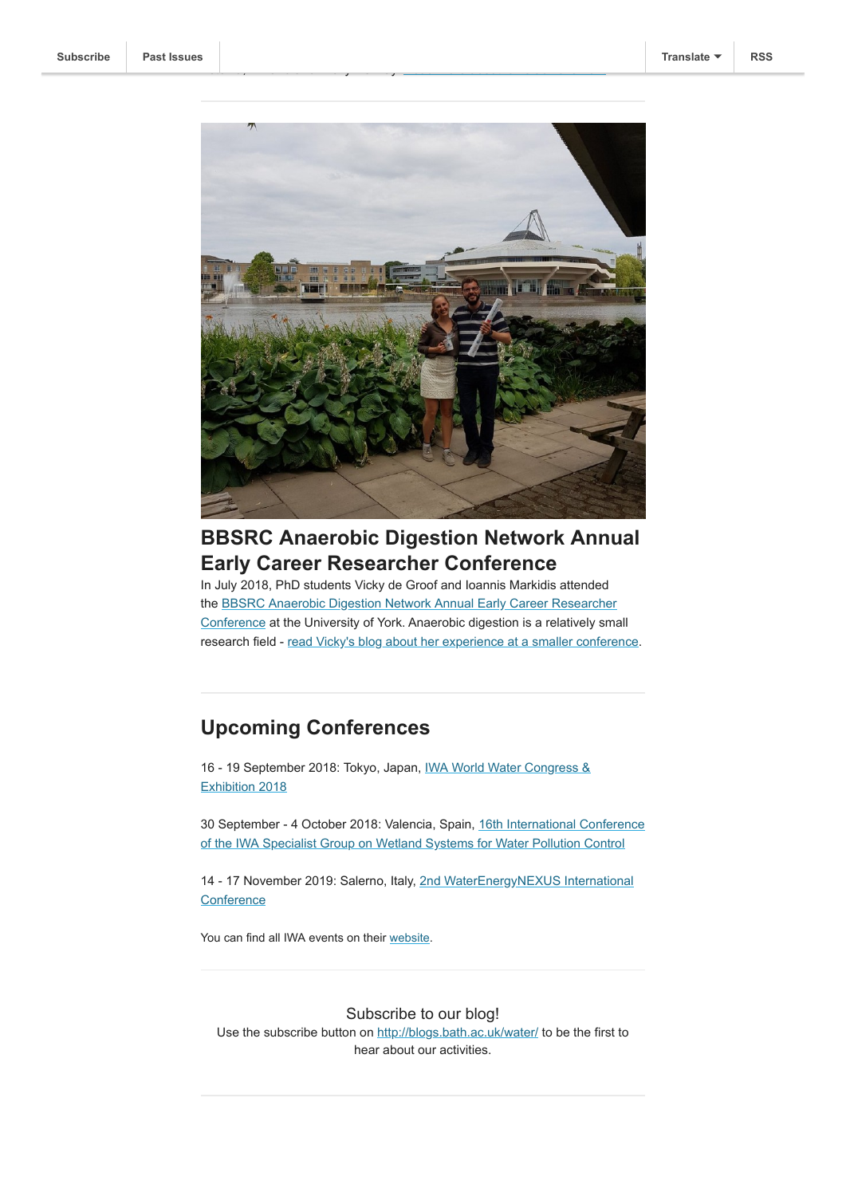

Estonia, Finland and finally Norway. [Read more about Ian's achievement.](http://www.bath.ac.uk/announcements/superhuman-performance-sees-ian-walker-win-epic-4300km-north-cape-trans-european-bike-race/)

# <span id="page-2-0"></span>**BBSRC Anaerobic Digestion Network Annual Early Career Researcher Conference**

In July 2018, PhD students Vicky de Groof and Ioannis Markidis attended the BBSRC Anaerobic Digestion Network Annual Early Career Researcher [Conference at the University of York. Anaerobic digestion is a relatively sma](http://www.anaerobicdigestionnet.com/)ll research field - [read Vicky's blog about her experience at a smaller conference](http://blogs.bath.ac.uk/csct/2018/the-perks-of-small-conferences/).

## <span id="page-2-1"></span>**Upcoming Conferences**

[16 - 19 September 2018: Tokyo, Japan, IWA World Water Congress &](http://www.iwa-network.org/events/iwa-world-water-congress-exhibition-2018/) Exhibition 2018

[30 September - 4 October 2018: Valencia, Spain, 16th International Conference](http://www.iwa-network.org/events/16th-international-conference-of-the-iwa-specialist-group-on-wetland-systems-for-water-pollution-control/) of the IWA Specialist Group on Wetland Systems for Water Pollution Control

[14 - 17 November 2019: Salerno, Italy, 2nd WaterEnergyNEXUS International](http://www.iwa-network.org/events/2nd-waterenergynexus-international-conference-supported/) **Conference** 

You can find all IWA events on their [website.](http://www.iwa-network.org/all-events/)

#### Subscribe to our blog!

Use the subscribe button on <http://blogs.bath.ac.uk/water/> to be the first to hear about our activities.